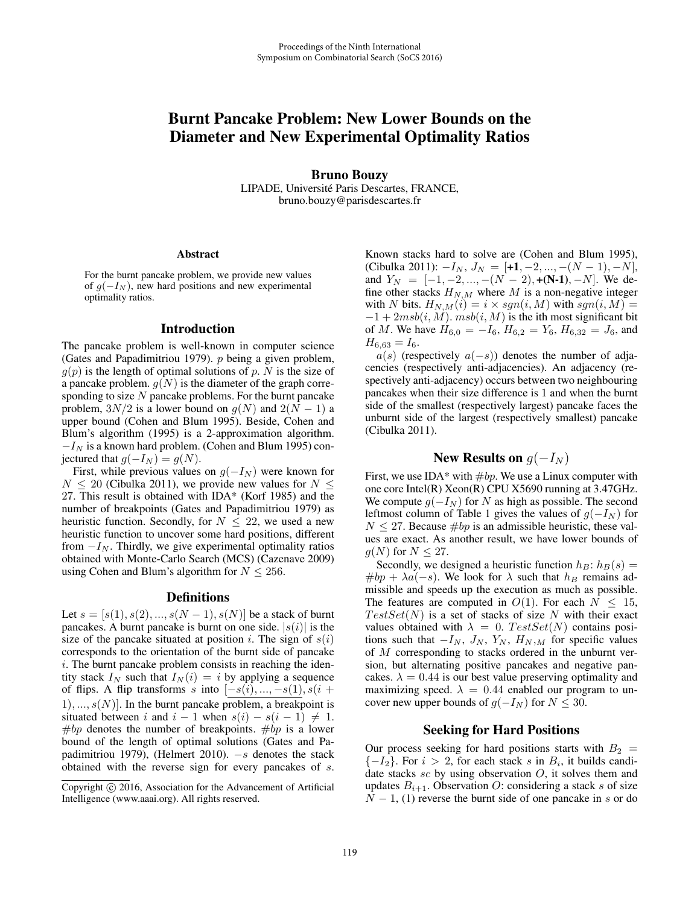# Burnt Pancake Problem: New Lower Bounds on the Diameter and New Experimental Optimality Ratios

Bruno Bouzy LIPADE, Université Paris Descartes, FRANCE, bruno.bouzy@parisdescartes.fr

#### Abstract

For the burnt pancake problem, we provide new values of  $q(-I_N)$ , new hard positions and new experimental optimality ratios.

### Introduction

The pancake problem is well-known in computer science (Gates and Papadimitriou 1979). p being a given problem,  $g(p)$  is the length of optimal solutions of p. N is the size of a pancake problem.  $g(N)$  is the diameter of the graph corresponding to size  $N$  pancake problems. For the burnt pancake problem,  $3N/2$  is a lower bound on  $g(N)$  and  $2(N - 1)$  a upper bound (Cohen and Blum 1995). Beside, Cohen and Blum's algorithm (1995) is a 2-approximation algorithm.  $-I<sub>N</sub>$  is a known hard problem. (Cohen and Blum 1995) conjectured that  $g(-I_N) = g(N)$ .

First, while previous values on  $g(-I_N)$  were known for  $N \le 20$  (Cibulka 2011), we provide new values for  $N \le$ 27. This result is obtained with IDA\* (Korf 1985) and the number of breakpoints (Gates and Papadimitriou 1979) as heuristic function. Secondly, for  $N \leq 22$ , we used a new heuristic function to uncover some hard positions, different from  $-I<sub>N</sub>$ . Thirdly, we give experimental optimality ratios obtained with Monte-Carlo Search (MCS) (Cazenave 2009) using Cohen and Blum's algorithm for  $N \le 256$ .

### Definitions

Let  $s = [s(1), s(2), ..., s(N-1), s(N)]$  be a stack of burnt pancakes. A burnt pancake is burnt on one side.  $|s(i)|$  is the size of the pancake situated at position i. The sign of  $s(i)$ corresponds to the orientation of the burnt side of pancake i. The burnt pancake problem consists in reaching the identity stack  $I_N$  such that  $I_N(i) = i$  by applying a sequence of flips. A flip transforms s into  $[-s(i), ..., -s(1), s(i +$  $1), ..., s(N)$ . In the burnt pancake problem, a breakpoint is situated between i and  $i - 1$  when  $s(i) - s(i - 1) \neq 1$ . #bp denotes the number of breakpoints. #bp is a lower bound of the length of optimal solutions (Gates and Papadimitriou 1979), (Helmert 2010).  $-s$  denotes the stack obtained with the reverse sign for every pancakes of s. Known stacks hard to solve are (Cohen and Blum 1995), (Cibulka 2011):  $-I_N$ ,  $J_N = [+1, -2, ..., -(N-1), -N]$ , and  $Y_N = [-1, -2, ..., -(N-2), +(N-1), -N]$ . We define other stacks  $H_{N,M}$  where M is a non-negative integer with N bits.  $H_{N,M}(i) = i \times sgn(i, M)$  with  $sgn(i, M) =$  $-1+2msb(i, M)$ .  $msb(i, M)$  is the ith most significant bit of M. We have  $H_{6,0} = -I_6$ ,  $H_{6,2} = Y_6$ ,  $H_{6,32} = J_6$ , and  $H_{6,63} = I_6.$ 

 $a(s)$  (respectively  $a(-s)$ ) denotes the number of adjacencies (respectively anti-adjacencies). An adjacency (respectively anti-adjacency) occurs between two neighbouring pancakes when their size difference is 1 and when the burnt side of the smallest (respectively largest) pancake faces the unburnt side of the largest (respectively smallest) pancake (Cibulka 2011).

## New Results on  $q(-I_N)$

First, we use IDA\* with  $\#bp$ . We use a Linux computer with one core Intel(R) Xeon(R) CPU X5690 running at 3.47GHz. We compute  $g(-I_N)$  for N as high as possible. The second leftmost column of Table 1 gives the values of  $g(-I<sub>N</sub>)$  for  $N \leq 27$ . Because #bp is an admissible heuristic, these values are exact. As another result, we have lower bounds of  $g(N)$  for  $N \leq 27$ .

Secondly, we designed a heuristic function  $h_B: h_B(s) =$  $#bp + \lambda a(-s)$ . We look for  $\lambda$  such that  $h_B$  remains admissible and speeds up the execution as much as possible. The features are computed in  $O(1)$ . For each  $N \leq 15$ ,  $TestSet(N)$  is a set of stacks of size N with their exact values obtained with  $\lambda = 0$ .  $TestSet(N)$  contains positions such that  $-I_N$ ,  $J_N$ ,  $Y_N$ ,  $H_N$ ,  $M$  for specific values of M corresponding to stacks ordered in the unburnt version, but alternating positive pancakes and negative pancakes.  $\lambda = 0.44$  is our best value preserving optimality and maximizing speed.  $\lambda = 0.44$  enabled our program to uncover new upper bounds of  $g(-I_N)$  for  $N \leq 30$ .

### Seeking for Hard Positions

Our process seeking for hard positions starts with  $B_2 =$  ${-I_2}$ . For  $i > 2$ , for each stack s in  $B_i$ , it builds candidate stacks  $sc$  by using observation  $O$ , it solves them and updates  $B_{i+1}$ . Observation O: considering a stack s of size  $N-1$ , (1) reverse the burnt side of one pancake in s or do

Copyright  $\odot$  2016, Association for the Advancement of Artificial Intelligence (www.aaai.org). All rights reserved.